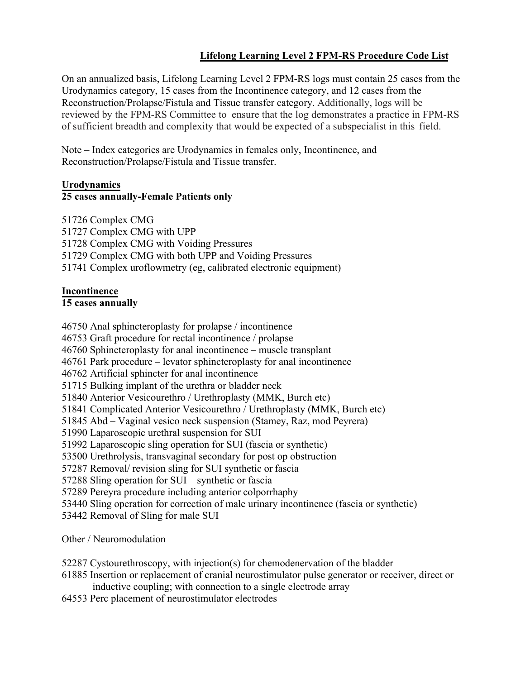# **Lifelong Learning Level 2 FPM-RS Procedure Code List**

On an annualized basis, Lifelong Learning Level 2 FPM-RS logs must contain 25 cases from the Urodynamics category, 15 cases from the Incontinence category, and 12 cases from the Reconstruction/Prolapse/Fistula and Tissue transfer category. Additionally, logs will be reviewed by the FPM-RS Committee to ensure that the log demonstrates a practice in FPM-RS of sufficient breadth and complexity that would be expected of a subspecialist in this field.

Note – Index categories are Urodynamics in females only, Incontinence, and Reconstruction/Prolapse/Fistula and Tissue transfer.

## **Urodynamics**

## **25 cases annually-Female Patients only**

51726 Complex CMG 51727 Complex CMG with UPP 51728 Complex CMG with Voiding Pressures 51729 Complex CMG with both UPP and Voiding Pressures 51741 Complex uroflowmetry (eg, calibrated electronic equipment)

## **Incontinence**

#### **15 cases annually**

46750 Anal sphincteroplasty for prolapse / incontinence

46753 Graft procedure for rectal incontinence / prolapse

46760 Sphincteroplasty for anal incontinence – muscle transplant

46761 Park procedure – levator sphincteroplasty for anal incontinence

46762 Artificial sphincter for anal incontinence

51715 Bulking implant of the urethra or bladder neck

51840 Anterior Vesicourethro / Urethroplasty (MMK, Burch etc)

51841 Complicated Anterior Vesicourethro / Urethroplasty (MMK, Burch etc)

51845 Abd – Vaginal vesico neck suspension (Stamey, Raz, mod Peyrera)

51990 Laparoscopic urethral suspension for SUI

51992 Laparoscopic sling operation for SUI (fascia or synthetic)

53500 Urethrolysis, transvaginal secondary for post op obstruction

57287 Removal/ revision sling for SUI synthetic or fascia

57288 Sling operation for SUI – synthetic or fascia

57289 Pereyra procedure including anterior colporrhaphy

53440 Sling operation for correction of male urinary incontinence (fascia or synthetic)

53442 Removal of Sling for male SUI

Other / Neuromodulation

52287 Cystourethroscopy, with injection(s) for chemodenervation of the bladder

61885 Insertion or replacement of cranial neurostimulator pulse generator or receiver, direct or inductive coupling; with connection to a single electrode array

64553 Perc placement of neurostimulator electrodes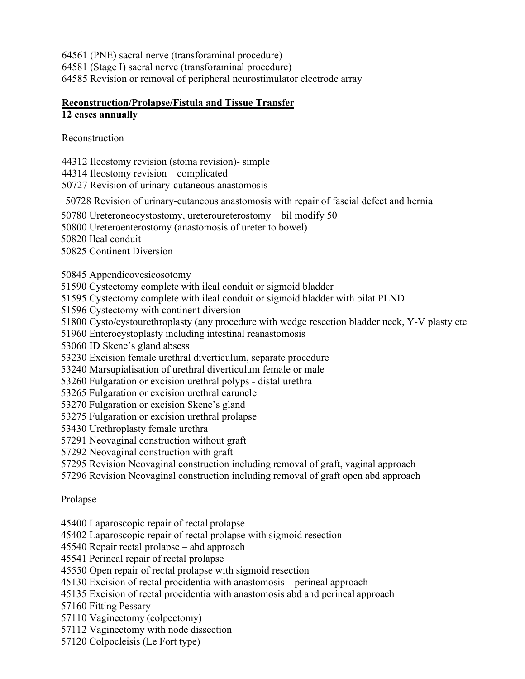64561 (PNE) sacral nerve (transforaminal procedure) 64581 (Stage I) sacral nerve (transforaminal procedure) 64585 Revision or removal of peripheral neurostimulator electrode array

# **Reconstruction/Prolapse/Fistula and Tissue Transfer**

# **12 cases annually**

Reconstruction

44312 Ileostomy revision (stoma revision)- simple

44314 Ileostomy revision – complicated

50727 Revision of urinary-cutaneous anastomosis

50728 Revision of urinary-cutaneous anastomosis with repair of fascial defect and hernia

50780 Ureteroneocystostomy, ureteroureterostomy – bil modify 50

50800 Ureteroenterostomy (anastomosis of ureter to bowel)

50820 Ileal conduit

50825 Continent Diversion

50845 Appendicovesicosotomy

51590 Cystectomy complete with ileal conduit or sigmoid bladder

51595 Cystectomy complete with ileal conduit or sigmoid bladder with bilat PLND

51596 Cystectomy with continent diversion

51800 Cysto/cystourethroplasty (any procedure with wedge resection bladder neck, Y-V plasty etc

51960 Enterocystoplasty including intestinal reanastomosis

53060 ID Skene's gland absess

53230 Excision female urethral diverticulum, separate procedure

53240 Marsupialisation of urethral diverticulum female or male

53260 Fulgaration or excision urethral polyps - distal urethra

53265 Fulgaration or excision urethral caruncle

53270 Fulgaration or excision Skene's gland

53275 Fulgaration or excision urethral prolapse

53430 Urethroplasty female urethra

57291 Neovaginal construction without graft

57292 Neovaginal construction with graft

57295 Revision Neovaginal construction including removal of graft, vaginal approach

57296 Revision Neovaginal construction including removal of graft open abd approach

# Prolapse

45400 Laparoscopic repair of rectal prolapse

45402 Laparoscopic repair of rectal prolapse with sigmoid resection

45540 Repair rectal prolapse – abd approach

45541 Perineal repair of rectal prolapse

45550 Open repair of rectal prolapse with sigmoid resection

45130 Excision of rectal procidentia with anastomosis – perineal approach

45135 Excision of rectal procidentia with anastomosis abd and perineal approach

57160 Fitting Pessary

57110 Vaginectomy (colpectomy)

57112 Vaginectomy with node dissection

57120 Colpocleisis (Le Fort type)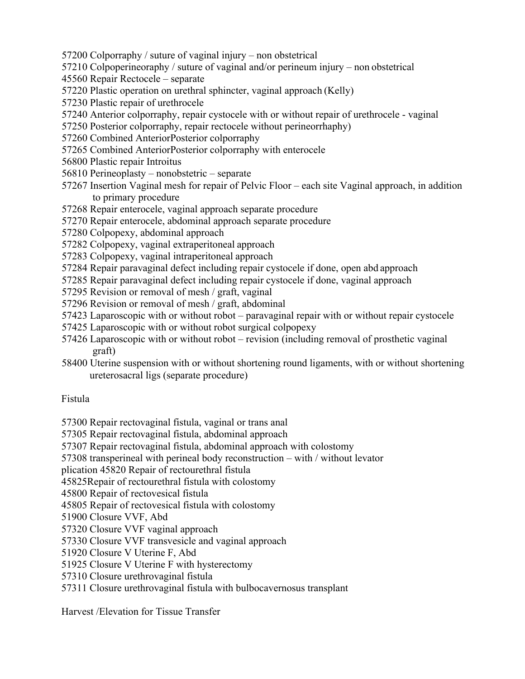- 57200 Colporraphy / suture of vaginal injury non obstetrical
- 57210 Colpoperineoraphy / suture of vaginal and/or perineum injury non obstetrical
- 45560 Repair Rectocele separate
- 57220 Plastic operation on urethral sphincter, vaginal approach (Kelly)
- 57230 Plastic repair of urethrocele
- 57240 Anterior colporraphy, repair cystocele with or without repair of urethrocele vaginal
- 57250 Posterior colporraphy, repair rectocele without perineorrhaphy)
- 57260 Combined AnteriorPosterior colporraphy
- 57265 Combined AnteriorPosterior colporraphy with enterocele
- 56800 Plastic repair Introitus
- 56810 Perineoplasty nonobstetric separate
- 57267 Insertion Vaginal mesh for repair of Pelvic Floor each site Vaginal approach, in addition to primary procedure
- 57268 Repair enterocele, vaginal approach separate procedure
- 57270 Repair enterocele, abdominal approach separate procedure
- 57280 Colpopexy, abdominal approach
- 57282 Colpopexy, vaginal extraperitoneal approach
- 57283 Colpopexy, vaginal intraperitoneal approach
- 57284 Repair paravaginal defect including repair cystocele if done, open abd approach
- 57285 Repair paravaginal defect including repair cystocele if done, vaginal approach
- 57295 Revision or removal of mesh / graft, vaginal
- 57296 Revision or removal of mesh / graft, abdominal
- 57423 Laparoscopic with or without robot paravaginal repair with or without repair cystocele
- 57425 Laparoscopic with or without robot surgical colpopexy
- 57426 Laparoscopic with or without robot revision (including removal of prosthetic vaginal graft)
- 58400 Uterine suspension with or without shortening round ligaments, with or without shortening ureterosacral ligs (separate procedure)

# Fistula

57300 Repair rectovaginal fistula, vaginal or trans anal

- 57305 Repair rectovaginal fistula, abdominal approach
- 57307 Repair rectovaginal fistula, abdominal approach with colostomy
- 57308 transperineal with perineal body reconstruction with / without levator

plication 45820 Repair of rectourethral fistula

45825Repair of rectourethral fistula with colostomy

45800 Repair of rectovesical fistula

- 45805 Repair of rectovesical fistula with colostomy
- 51900 Closure VVF, Abd
- 57320 Closure VVF vaginal approach
- 57330 Closure VVF transvesicle and vaginal approach
- 51920 Closure V Uterine F, Abd
- 51925 Closure V Uterine F with hysterectomy
- 57310 Closure urethrovaginal fistula
- 57311 Closure urethrovaginal fistula with bulbocavernosus transplant

Harvest /Elevation for Tissue Transfer